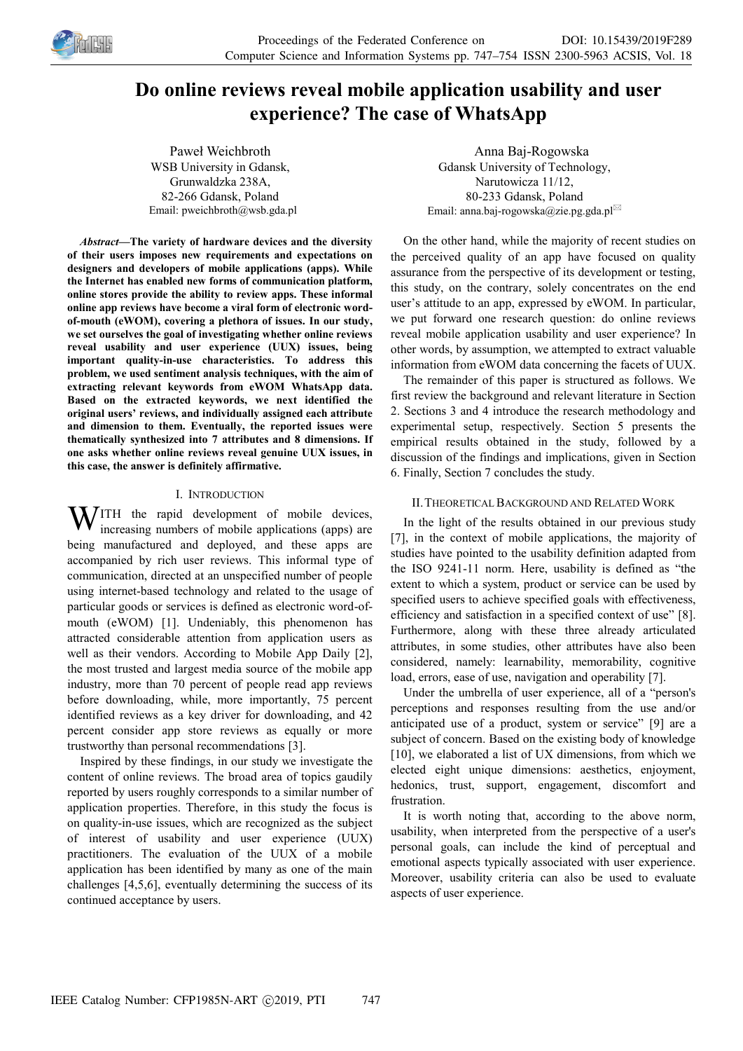

# **Do online reviews reveal mobile application usability and user experience? The case of WhatsApp**

Paweł Weichbroth WSB University in Gdansk, Grunwaldzka 238A, 82-266 Gdansk, Poland Email: pweichbroth@wsb.gda.pl

*Abstract—***The variety of hardware devices and the diversity of their users imposes new requirements and expectations on designers and developers of mobile applications (apps). While the Internet has enabled new forms of communication platform, online stores provide the ability to review apps. These informal online app reviews have become a viral form of electronic wordof-mouth (eWOM), covering a plethora of issues. In our study, we set ourselves the goal of investigating whether online reviews reveal usability and user experience (UUX) issues, being important quality-in-use characteristics. To address this problem, we used sentiment analysis techniques, with the aim of extracting relevant keywords from eWOM WhatsApp data. Based on the extracted keywords, we next identified the original users' reviews, and individually assigned each attribute and dimension to them. Eventually, the reported issues were thematically synthesized into 7 attributes and 8 dimensions. If one asks whether online reviews reveal genuine UUX issues, in this case, the answer is definitely affirmative.** 

## I. INTRODUCTION

**W**ITH the rapid development of mobile devices, increasing numbers of mobile applications (apps) are increasing numbers of mobile applications (apps) are being manufactured and deployed, and these apps are accompanied by rich user reviews. This informal type of communication, directed at an unspecified number of people using internet-based technology and related to the usage of particular goods or services is defined as electronic word-ofmouth (eWOM) [1]. Undeniably, this phenomenon has attracted considerable attention from application users as well as their vendors. According to Mobile App Daily [2], the most trusted and largest media source of the mobile app industry, more than 70 percent of people read app reviews before downloading, while, more importantly, 75 percent identified reviews as a key driver for downloading, and 42 percent consider app store reviews as equally or more trustworthy than personal recommendations [3].

Inspired by these findings, in our study we investigate the content of online reviews. The broad area of topics gaudily reported by users roughly corresponds to a similar number of application properties. Therefore, in this study the focus is on quality-in-use issues, which are recognized as the subject of interest of usability and user experience (UUX) practitioners. The evaluation of the UUX of a mobile application has been identified by many as one of the main challenges [4,5,6], eventually determining the success of its continued acceptance by users.

Anna Baj-Rogowska Gdansk University of Technology, Narutowicza 11/12, 80-233 Gdansk, Poland Email: anna.baj-rogowska@zie.pg.gda.pl

On the other hand, while the majority of recent studies on the perceived quality of an app have focused on quality assurance from the perspective of its development or testing, this study, on the contrary, solely concentrates on the end user's attitude to an app, expressed by eWOM. In particular, we put forward one research question: do online reviews reveal mobile application usability and user experience? In other words, by assumption, we attempted to extract valuable information from eWOM data concerning the facets of UUX.

The remainder of this paper is structured as follows. We first review the background and relevant literature in Section 2. Sections 3 and 4 introduce the research methodology and experimental setup, respectively. Section 5 presents the empirical results obtained in the study, followed by a discussion of the findings and implications, given in Section 6. Finally, Section 7 concludes the study.

# II.THEORETICAL BACKGROUND AND RELATED WORK

In the light of the results obtained in our previous study [7], in the context of mobile applications, the majority of studies have pointed to the usability definition adapted from the ISO 9241-11 norm. Here, usability is defined as "the extent to which a system, product or service can be used by specified users to achieve specified goals with effectiveness, efficiency and satisfaction in a specified context of use" [8]. Furthermore, along with these three already articulated attributes, in some studies, other attributes have also been considered, namely: learnability, memorability, cognitive load, errors, ease of use, navigation and operability [7].

Under the umbrella of user experience, all of a "person's perceptions and responses resulting from the use and/or anticipated use of a product, system or service" [9] are a subject of concern. Based on the existing body of knowledge [10], we elaborated a list of UX dimensions, from which we elected eight unique dimensions: aesthetics, enjoyment, hedonics, trust, support, engagement, discomfort and frustration.

It is worth noting that, according to the above norm, usability, when interpreted from the perspective of a user's personal goals, can include the kind of perceptual and emotional aspects typically associated with user experience. Moreover, usability criteria can also be used to evaluate aspects of user experience.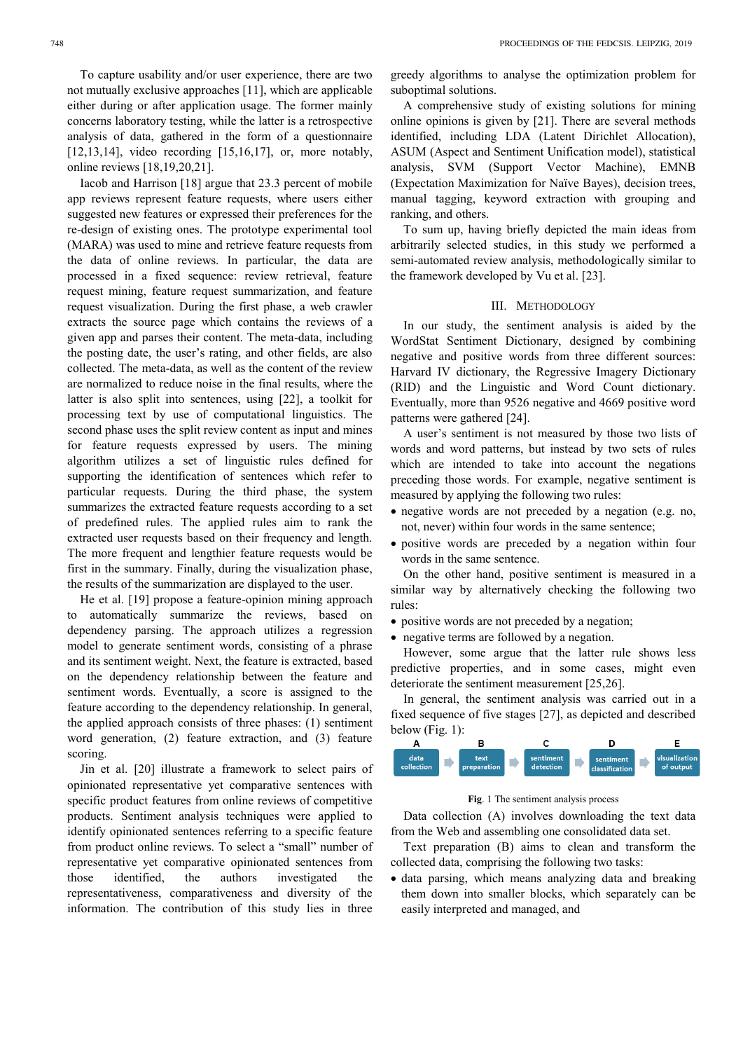To capture usability and/or user experience, there are two not mutually exclusive approaches [11], which are applicable either during or after application usage. The former mainly concerns laboratory testing, while the latter is a retrospective analysis of data, gathered in the form of a questionnaire [12,13,14], video recording [15,16,17], or, more notably, online reviews [18,19,20,21].

Iacob and Harrison [18] argue that 23.3 percent of mobile app reviews represent feature requests, where users either suggested new features or expressed their preferences for the re-design of existing ones. The prototype experimental tool (MARA) was used to mine and retrieve feature requests from the data of online reviews. In particular, the data are processed in a fixed sequence: review retrieval, feature request mining, feature request summarization, and feature request visualization. During the first phase, a web crawler extracts the source page which contains the reviews of a given app and parses their content. The meta-data, including the posting date, the user's rating, and other fields, are also collected. The meta-data, as well as the content of the review are normalized to reduce noise in the final results, where the latter is also split into sentences, using [22], a toolkit for processing text by use of computational linguistics. The second phase uses the split review content as input and mines for feature requests expressed by users. The mining algorithm utilizes a set of linguistic rules defined for supporting the identification of sentences which refer to particular requests. During the third phase, the system summarizes the extracted feature requests according to a set of predefined rules. The applied rules aim to rank the extracted user requests based on their frequency and length. The more frequent and lengthier feature requests would be first in the summary. Finally, during the visualization phase, the results of the summarization are displayed to the user.

He et al. [19] propose a feature-opinion mining approach to automatically summarize the reviews, based on dependency parsing. The approach utilizes a regression model to generate sentiment words, consisting of a phrase and its sentiment weight. Next, the feature is extracted, based on the dependency relationship between the feature and sentiment words. Eventually, a score is assigned to the feature according to the dependency relationship. In general, the applied approach consists of three phases: (1) sentiment word generation, (2) feature extraction, and (3) feature scoring.

Jin et al. [20] illustrate a framework to select pairs of opinionated representative yet comparative sentences with specific product features from online reviews of competitive products. Sentiment analysis techniques were applied to identify opinionated sentences referring to a specific feature from product online reviews. To select a "small" number of representative yet comparative opinionated sentences from those identified, the authors investigated the representativeness, comparativeness and diversity of the information. The contribution of this study lies in three greedy algorithms to analyse the optimization problem for suboptimal solutions.

A comprehensive study of existing solutions for mining online opinions is given by [21]. There are several methods identified, including LDA (Latent Dirichlet Allocation), ASUM (Aspect and Sentiment Unification model), statistical analysis, SVM (Support Vector Machine), EMNB (Expectation Maximization for Naïve Bayes), decision trees, manual tagging, keyword extraction with grouping and ranking, and others.

To sum up, having briefly depicted the main ideas from arbitrarily selected studies, in this study we performed a semi-automated review analysis, methodologically similar to the framework developed by Vu et al. [23].

## III. METHODOLOGY

In our study, the sentiment analysis is aided by the WordStat Sentiment Dictionary, designed by combining negative and positive words from three different sources: Harvard IV dictionary, the Regressive Imagery Dictionary (RID) and the Linguistic and Word Count dictionary. Eventually, more than 9526 negative and 4669 positive word patterns were gathered [24].

A user's sentiment is not measured by those two lists of words and word patterns, but instead by two sets of rules which are intended to take into account the negations preceding those words. For example, negative sentiment is measured by applying the following two rules:

- negative words are not preceded by a negation (e.g. no, not, never) within four words in the same sentence;
- positive words are preceded by a negation within four words in the same sentence.

On the other hand, positive sentiment is measured in a similar way by alternatively checking the following two rules:

- positive words are not preceded by a negation;
- negative terms are followed by a negation.

However, some argue that the latter rule shows less predictive properties, and in some cases, might even deteriorate the sentiment measurement [25,26].

In general, the sentiment analysis was carried out in a fixed sequence of five stages [27], as depicted and described below (Fig. 1):



**Fig**. 1 The sentiment analysis process

Data collection (A) involves downloading the text data from the Web and assembling one consolidated data set.

Text preparation (B) aims to clean and transform the collected data, comprising the following two tasks:

• data parsing, which means analyzing data and breaking them down into smaller blocks, which separately can be easily interpreted and managed, and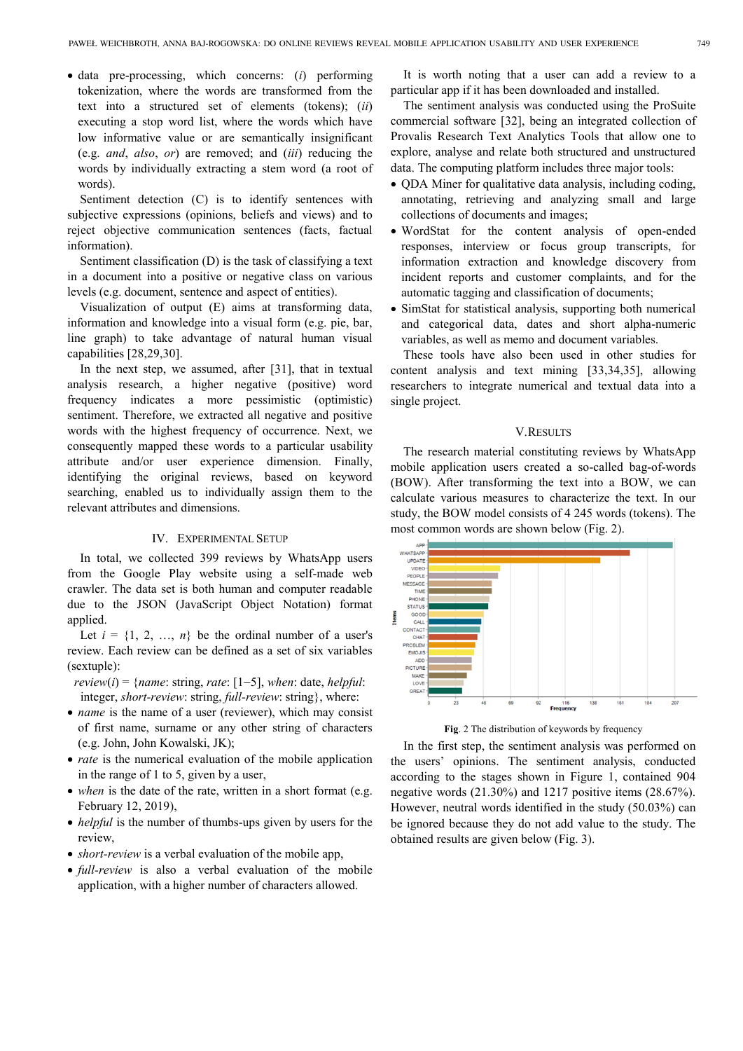• data pre-processing, which concerns: (*i*) performing tokenization, where the words are transformed from the text into a structured set of elements (tokens); (*ii*) executing a stop word list, where the words which have low informative value or are semantically insignificant (e.g. *and*, *also*, *or*) are removed; and (*iii*) reducing the words by individually extracting a stem word (a root of words).

Sentiment detection (C) is to identify sentences with subjective expressions (opinions, beliefs and views) and to reject objective communication sentences (facts, factual information).

Sentiment classification (D) is the task of classifying a text in a document into a positive or negative class on various levels (e.g. document, sentence and aspect of entities).

Visualization of output (E) aims at transforming data, information and knowledge into a visual form (e.g. pie, bar, line graph) to take advantage of natural human visual capabilities [28,29,30].

In the next step, we assumed, after [31], that in textual analysis research, a higher negative (positive) word frequency indicates a more pessimistic (optimistic) sentiment. Therefore, we extracted all negative and positive words with the highest frequency of occurrence. Next, we consequently mapped these words to a particular usability attribute and/or user experience dimension. Finally, identifying the original reviews, based on keyword searching, enabled us to individually assign them to the relevant attributes and dimensions.

## IV. EXPERIMENTAL SETUP

In total, we collected 399 reviews by WhatsApp users from the Google Play website using a self-made web crawler. The data set is both human and computer readable due to the JSON (JavaScript Object Notation) format applied.

Let  $i = \{1, 2, ..., n\}$  be the ordinal number of a user's review. Each review can be defined as a set of six variables (sextuple):

*review*( $i$ ) = {*name*: string, *rate*: [1–5], *when*: date, *helpful*: integer, *short-review*: string, *full-review*: string}, where:

- *name* is the name of a user (reviewer), which may consist of first name, surname or any other string of characters (e.g. John, John Kowalski, JK);
- *rate* is the numerical evaluation of the mobile application in the range of 1 to 5, given by a user,
- *when* is the date of the rate, written in a short format (e.g. February 12, 2019),
- *helpful* is the number of thumbs-ups given by users for the review,
- *short-review* is a verbal evaluation of the mobile app,
- *full-review* is also a verbal evaluation of the mobile application, with a higher number of characters allowed.

It is worth noting that a user can add a review to a particular app if it has been downloaded and installed.

The sentiment analysis was conducted using the ProSuite commercial software [32], being an integrated collection of Provalis Research Text Analytics Tools that allow one to explore, analyse and relate both structured and unstructured data. The computing platform includes three major tools:

- QDA Miner for qualitative data analysis, including coding, annotating, retrieving and analyzing small and large collections of documents and images;
- WordStat for the content analysis of open-ended responses, interview or focus group transcripts, for information extraction and knowledge discovery from incident reports and customer complaints, and for the automatic tagging and classification of documents;
- SimStat for statistical analysis, supporting both numerical and categorical data, dates and short alpha-numeric variables, as well as memo and document variables.

These tools have also been used in other studies for content analysis and text mining [33,34,35], allowing researchers to integrate numerical and textual data into a single project.

## V.RESULTS

The research material constituting reviews by WhatsApp mobile application users created a so-called bag-of-words (BOW). After transforming the text into a BOW, we can calculate various measures to characterize the text. In our study, the BOW model consists of 4 245 words (tokens). The most common words are shown below (Fig. 2).



**Fig**. 2 The distribution of keywords by frequency

In the first step, the sentiment analysis was performed on the users' opinions. The sentiment analysis, conducted according to the stages shown in Figure 1, contained 904 negative words (21.30%) and 1217 positive items (28.67%). However, neutral words identified in the study (50.03%) can be ignored because they do not add value to the study. The obtained results are given below (Fig. 3).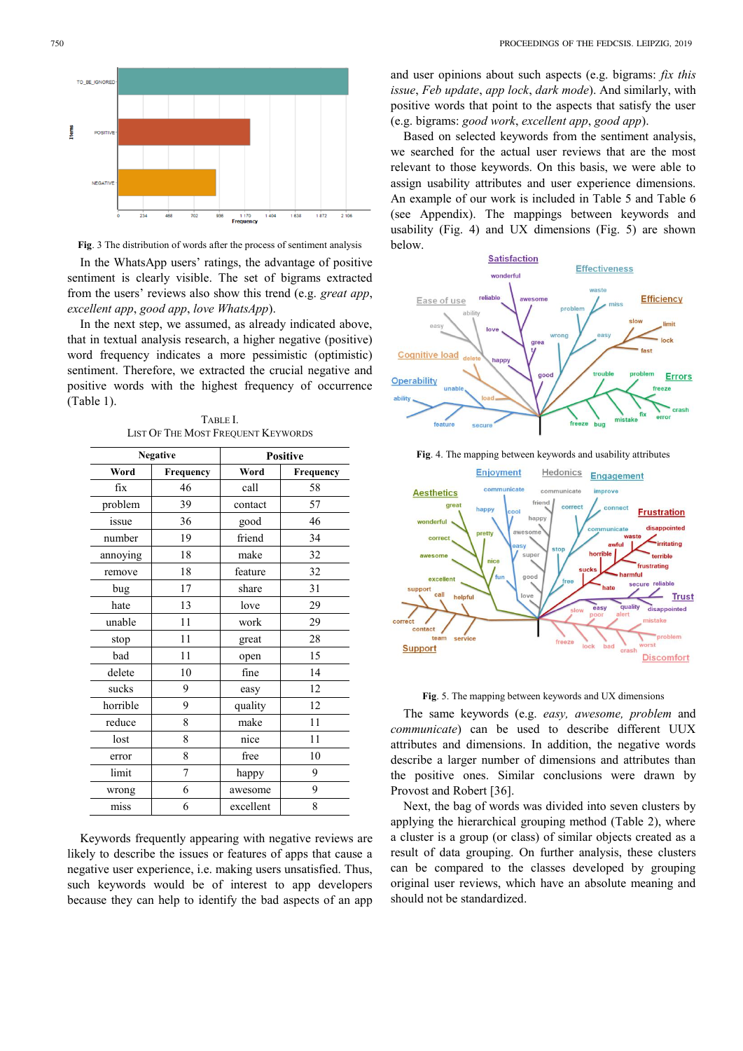TO BE IGNORE Ë POSITIV **NEGATIVE** 468 1170<br>Frequency 1 638  $1872$  $2106$ 

**Fig**. 3 The distribution of words after the process of sentiment analysis

In the WhatsApp users' ratings, the advantage of positive sentiment is clearly visible. The set of bigrams extracted from the users' reviews also show this trend (e.g. *great app*, *excellent app*, *good app*, *love WhatsApp*).

In the next step, we assumed, as already indicated above, that in textual analysis research, a higher negative (positive) word frequency indicates a more pessimistic (optimistic) sentiment. Therefore, we extracted the crucial negative and positive words with the highest frequency of occurrence (Table 1).

| <b>Negative</b> |           | <b>Positive</b> |           |
|-----------------|-----------|-----------------|-----------|
| Word            | Frequency | Word            | Frequency |
| fix             | 46        | call            | 58        |
| problem         | 39        | contact         | 57        |
| issue           | 36        | good            | 46        |
| number          | 19        | friend          | 34        |
| annoying        | 18        | make            | 32        |
| remove          | 18        | feature         | 32        |
| bug             | 17        | share           | 31        |
| hate            | 13        | love            | 29        |
| unable          | 11        | work            | 29        |
| stop            | 11        | great           | 28        |
| bad             | 11        | open            | 15        |
| delete          | 10        | fine            | 14        |
| sucks           | 9         | easy            | 12        |
| horrible        | 9         | quality         | 12        |
| reduce          | 8         | make            | 11        |
| lost            | 8         | nice            | 11        |
| error           | 8         | free            | 10        |
| limit           | 7         | happy           | 9         |
| wrong           | 6         | awesome         | 9         |
| miss            | 6         | excellent       | 8         |

TABLE I. LIST OF THE MOST FREQUENT KEYWORDS

Keywords frequently appearing with negative reviews are likely to describe the issues or features of apps that cause a negative user experience, i.e. making users unsatisfied. Thus, such keywords would be of interest to app developers because they can help to identify the bad aspects of an app

and user opinions about such aspects (e.g. bigrams: *fix this issue*, *Feb update*, *app lock*, *dark mode*). And similarly, with positive words that point to the aspects that satisfy the user (e.g. bigrams: *good work*, *excellent app*, *good app*).

Based on selected keywords from the sentiment analysis, we searched for the actual user reviews that are the most relevant to those keywords. On this basis, we were able to assign usability attributes and user experience dimensions. An example of our work is included in Table 5 and Table 6 (see Appendix). The mappings between keywords and usability (Fig. 4) and UX dimensions (Fig. 5) are shown below.







**Fig**. 5. The mapping between keywords and UX dimensions

The same keywords (e.g. *easy, awesome, problem* and *communicate*) can be used to describe different UUX attributes and dimensions. In addition, the negative words describe a larger number of dimensions and attributes than the positive ones. Similar conclusions were drawn by Provost and Robert [36].

Next, the bag of words was divided into seven clusters by applying the hierarchical grouping method (Table 2), where a cluster is a group (or class) of similar objects created as a result of data grouping. On further analysis, these clusters can be compared to the classes developed by grouping original user reviews, which have an absolute meaning and should not be standardized.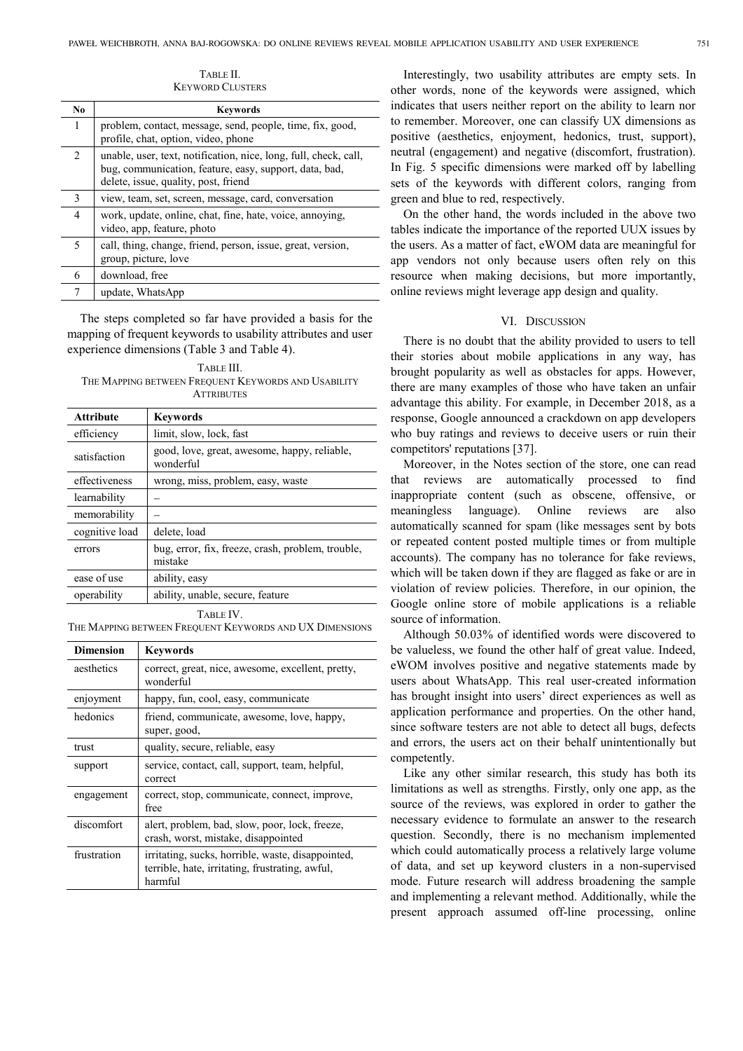| No.                           | <b>Keywords</b>                                                                                                                                                    |
|-------------------------------|--------------------------------------------------------------------------------------------------------------------------------------------------------------------|
| 1                             | problem, contact, message, send, people, time, fix, good,<br>profile, chat, option, video, phone                                                                   |
| $\mathfrak{D}_{\mathfrak{p}}$ | unable, user, text, notification, nice, long, full, check, call,<br>bug, communication, feature, easy, support, data, bad,<br>delete, issue, quality, post, friend |
| 3                             | view, team, set, screen, message, card, conversation                                                                                                               |
| $\overline{4}$                | work, update, online, chat, fine, hate, voice, annoying,<br>video, app, feature, photo                                                                             |
| 5                             | call, thing, change, friend, person, issue, great, version,<br>group, picture, love                                                                                |
| 6                             | download, free                                                                                                                                                     |
| 7                             | update, WhatsApp                                                                                                                                                   |

TABLE II. KEYWORD CLUSTERS

The steps completed so far have provided a basis for the mapping of frequent keywords to usability attributes and user experience dimensions (Table 3 and Table 4).

TABLE III. THE MAPPING BETWEEN FREQUENT KEYWORDS AND USABILITY **ATTRIBUTES** 

| <b>Attribute</b> | <b>Keywords</b>                                              |
|------------------|--------------------------------------------------------------|
| efficiency       | limit, slow, lock, fast                                      |
| satisfaction     | good, love, great, awesome, happy, reliable,<br>wonderful    |
| effectiveness    | wrong, miss, problem, easy, waste                            |
| learnability     |                                                              |
| memorability     |                                                              |
| cognitive load   | delete, load                                                 |
| errors           | bug, error, fix, freeze, crash, problem, trouble,<br>mistake |
| ease of use      | ability, easy                                                |
| operability      | ability, unable, secure, feature                             |

TABLE IV.

THE MAPPING BETWEEN FREQUENT KEYWORDS AND UX DIMENSIONS

| <b>Dimension</b> | <b>Keywords</b>                                                                                                 |
|------------------|-----------------------------------------------------------------------------------------------------------------|
| aesthetics       | correct, great, nice, awesome, excellent, pretty,<br>wonderful                                                  |
| enjoyment        | happy, fun, cool, easy, communicate                                                                             |
| hedonics         | friend, communicate, awesome, love, happy,<br>super, good,                                                      |
| trust            | quality, secure, reliable, easy                                                                                 |
| support          | service, contact, call, support, team, helpful,<br>correct                                                      |
| engagement       | correct, stop, communicate, connect, improve,<br>free                                                           |
| discomfort       | alert, problem, bad, slow, poor, lock, freeze,<br>crash, worst, mistake, disappointed                           |
| frustration      | irritating, sucks, horrible, waste, disappointed,<br>terrible, hate, irritating, frustrating, awful,<br>harmful |

Interestingly, two usability attributes are empty sets. In other words, none of the keywords were assigned, which indicates that users neither report on the ability to learn nor to remember. Moreover, one can classify UX dimensions as positive (aesthetics, enjoyment, hedonics, trust, support), neutral (engagement) and negative (discomfort, frustration). In Fig. 5 specific dimensions were marked off by labelling sets of the keywords with different colors, ranging from green and blue to red, respectively.

On the other hand, the words included in the above two tables indicate the importance of the reported UUX issues by the users. As a matter of fact, eWOM data are meaningful for app vendors not only because users often rely on this resource when making decisions, but more importantly, online reviews might leverage app design and quality.

## VI. DISCUSSION

There is no doubt that the ability provided to users to tell their stories about mobile applications in any way, has brought popularity as well as obstacles for apps. However, there are many examples of those who have taken an unfair advantage this ability. For example, in December 2018, as a response, Google announced a crackdown on app developers who buy ratings and reviews to deceive users or ruin their competitors' reputations [37].

Moreover, in the Notes section of the store, one can read that reviews are automatically processed to find inappropriate content (such as obscene, offensive, or meaningless language). Online reviews are also automatically scanned for spam (like messages sent by bots or repeated content posted multiple times or from multiple accounts). The company has no tolerance for fake reviews, which will be taken down if they are flagged as fake or are in violation of review policies. Therefore, in our opinion, the Google online store of mobile applications is a reliable source of information.

Although 50.03% of identified words were discovered to be valueless, we found the other half of great value. Indeed, eWOM involves positive and negative statements made by users about WhatsApp. This real user-created information has brought insight into users' direct experiences as well as application performance and properties. On the other hand, since software testers are not able to detect all bugs, defects and errors, the users act on their behalf unintentionally but competently.

Like any other similar research, this study has both its limitations as well as strengths. Firstly, only one app, as the source of the reviews, was explored in order to gather the necessary evidence to formulate an answer to the research question. Secondly, there is no mechanism implemented which could automatically process a relatively large volume of data, and set up keyword clusters in a non-supervised mode. Future research will address broadening the sample and implementing a relevant method. Additionally, while the present approach assumed off-line processing, online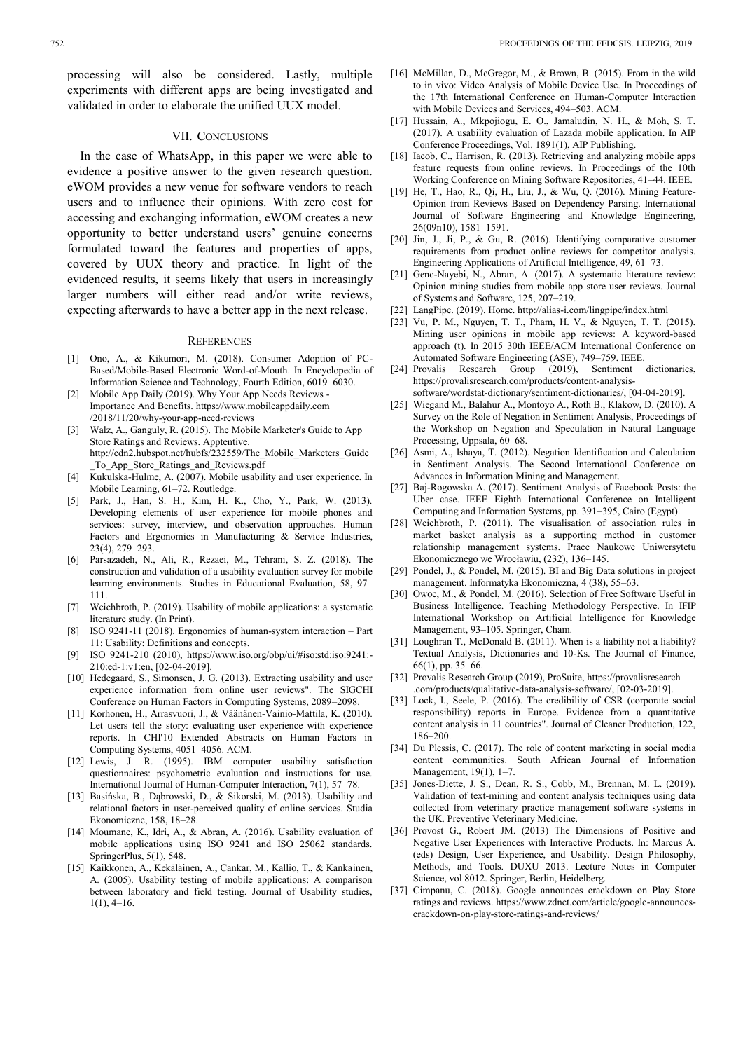#### VII. CONCLUSIONS

In the case of WhatsApp, in this paper we were able to evidence a positive answer to the given research question. eWOM provides a new venue for software vendors to reach users and to influence their opinions. With zero cost for accessing and exchanging information, eWOM creates a new opportunity to better understand users' genuine concerns formulated toward the features and properties of apps, covered by UUX theory and practice. In light of the evidenced results, it seems likely that users in increasingly larger numbers will either read and/or write reviews, expecting afterwards to have a better app in the next release.

#### **REFERENCES**

- [1] Ono, A., & Kikumori, M. (2018). Consumer Adoption of PC-Based/Mobile-Based Electronic Word-of-Mouth. In Encyclopedia of Information Science and Technology, Fourth Edition, 6019–6030.
- [2] Mobile App Daily (2019). Why Your App Needs Reviews -Importance And Benefits. https://www.mobileappdaily.com /2018/11/20/why-your-app-need-reviews
- [3] Walz, A., Ganguly, R. (2015). The Mobile Marketer's Guide to App Store Ratings and Reviews. Apptentive. http://cdn2.hubspot.net/hubfs/232559/The\_Mobile\_Marketers\_Guide \_To\_App\_Store\_Ratings\_and\_Reviews.pdf
- [4] Kukulska-Hulme, A. (2007). Mobile usability and user experience. In Mobile Learning, 61–72. Routledge.
- [5] Park, J., Han, S. H., Kim, H. K., Cho, Y., Park, W. (2013). Developing elements of user experience for mobile phones and services: survey, interview, and observation approaches. Human Factors and Ergonomics in Manufacturing & Service Industries, 23(4), 279–293.
- [6] Parsazadeh, N., Ali, R., Rezaei, M., Tehrani, S. Z. (2018). The construction and validation of a usability evaluation survey for mobile learning environments. Studies in Educational Evaluation, 58, 97– 111.
- [7] Weichbroth, P. (2019). Usability of mobile applications: a systematic literature study. (In Print).
- [8] ISO 9241-11 (2018). Ergonomics of human-system interaction Part 11: Usability: Definitions and concepts.
- [9] ISO 9241-210 (2010), https://www.iso.org/obp/ui/#iso:std:iso:9241:- 210:ed-1:v1:en, [02-04-2019].
- [10] Hedegaard, S., Simonsen, J. G. (2013). Extracting usability and user experience information from online user reviews". The SIGCHI Conference on Human Factors in Computing Systems, 2089–2098.
- [11] Korhonen, H., Arrasvuori, J., & Väänänen-Vainio-Mattila, K. (2010). Let users tell the story: evaluating user experience with experience reports. In CHI'10 Extended Abstracts on Human Factors in Computing Systems, 4051–4056. ACM.
- [12] Lewis, J. R. (1995). IBM computer usability satisfaction questionnaires: psychometric evaluation and instructions for use. International Journal of Human‐Computer Interaction, 7(1), 57–78.
- [13] Basińska, B., Dąbrowski, D., & Sikorski, M. (2013). Usability and relational factors in user-perceived quality of online services. Studia Ekonomiczne, 158, 18–28.
- [14] Moumane, K., Idri, A., & Abran, A. (2016). Usability evaluation of mobile applications using ISO 9241 and ISO 25062 standards. SpringerPlus, 5(1), 548.
- [15] Kaikkonen, A., Kekäläinen, A., Cankar, M., Kallio, T., & Kankainen, A. (2005). Usability testing of mobile applications: A comparison between laboratory and field testing. Journal of Usability studies,  $1(1), 4-16.$
- [16] McMillan, D., McGregor, M., & Brown, B. (2015). From in the wild to in vivo: Video Analysis of Mobile Device Use. In Proceedings of the 17th International Conference on Human-Computer Interaction with Mobile Devices and Services, 494–503. ACM.
- [17] Hussain, A., Mkpojiogu, E. O., Jamaludin, N. H., & Moh, S. T. (2017). A usability evaluation of Lazada mobile application. In AIP Conference Proceedings, Vol. 1891(1), AIP Publishing.
- [18] Iacob, C., Harrison, R. (2013). Retrieving and analyzing mobile apps feature requests from online reviews. In Proceedings of the 10th Working Conference on Mining Software Repositories, 41–44. IEEE.
- [19] He, T., Hao, R., Qi, H., Liu, J., & Wu, Q. (2016). Mining Feature-Opinion from Reviews Based on Dependency Parsing. International Journal of Software Engineering and Knowledge Engineering, 26(09n10), 1581–1591.
- [20] Jin, J., Ji, P., & Gu, R. (2016). Identifying comparative customer requirements from product online reviews for competitor analysis. Engineering Applications of Artificial Intelligence, 49, 61–73.
- [21] Genc-Nayebi, N., Abran, A. (2017). A systematic literature review: Opinion mining studies from mobile app store user reviews. Journal of Systems and Software, 125, 207–219.
- [22] LangPipe. (2019). Home. http://alias-i.com/lingpipe/index.html
- [23] Vu, P. M., Nguyen, T. T., Pham, H. V., & Nguyen, T. T. (2015). Mining user opinions in mobile app reviews: A keyword-based approach (t). In 2015 30th IEEE/ACM International Conference on Automated Software Engineering (ASE), 749–759. IEEE.
- [24] Provalis Research Group  $(2019)$ , Sentiment https://provalisresearch.com/products/content-analysissoftware/wordstat-dictionary/sentiment-dictionaries/, [04-04-2019].
- [25] Wiegand M., Balahur A., Montoyo A., Roth B., Klakow, D. (2010). A Survey on the Role of Negation in Sentiment Analysis, Proceedings of the Workshop on Negation and Speculation in Natural Language Processing, Uppsala, 60–68.
- [26] Asmi, A., Ishaya, T. (2012). Negation Identification and Calculation in Sentiment Analysis. The Second International Conference on Advances in Information Mining and Management.
- [27] Baj-Rogowska A. (2017). Sentiment Analysis of Facebook Posts: the Uber case. IEEE Eighth International Conference on Intelligent Computing and Information Systems, pp. 391–395, Cairo (Egypt).
- [28] Weichbroth, P. (2011). The visualisation of association rules in market basket analysis as a supporting method in customer relationship management systems. Prace Naukowe Uniwersytetu Ekonomicznego we Wrocławiu, (232), 136–145.
- [29] Pondel, J., & Pondel, M. (2015). BI and Big Data solutions in project management. Informatyka Ekonomiczna, 4 (38), 55–63.
- [30] Owoc, M., & Pondel, M. (2016). Selection of Free Software Useful in Business Intelligence. Teaching Methodology Perspective. In IFIP International Workshop on Artificial Intelligence for Knowledge Management, 93–105. Springer, Cham.
- [31] Loughran T., McDonald B. (2011). When is a liability not a liability? Textual Analysis, Dictionaries and 10-Ks. The Journal of Finance,  $66(1)$ , pp. 35–66.
- [32] Provalis Research Group (2019), ProSuite, https://provalisresearch .com/products/qualitative-data-analysis-software/, [02-03-2019].
- Lock, I., Seele, P. (2016). The credibility of CSR (corporate social responsibility) reports in Europe. Evidence from a quantitative content analysis in 11 countries". Journal of Cleaner Production, 122, 186–200.
- [34] Du Plessis, C. (2017). The role of content marketing in social media content communities. South African Journal of Information Management, 19(1), 1–7.
- [35] Jones-Diette, J. S., Dean, R. S., Cobb, M., Brennan, M. L. (2019). Validation of text-mining and content analysis techniques using data collected from veterinary practice management software systems in the UK. Preventive Veterinary Medicine.
- [36] Provost G., Robert JM. (2013) The Dimensions of Positive and Negative User Experiences with Interactive Products. In: Marcus A. (eds) Design, User Experience, and Usability. Design Philosophy, Methods, and Tools. DUXU 2013. Lecture Notes in Computer Science, vol 8012. Springer, Berlin, Heidelberg.
- [37] Cimpanu, C. (2018). Google announces crackdown on Play Store ratings and reviews. https://www.zdnet.com/article/google-announcescrackdown-on-play-store-ratings-and-reviews/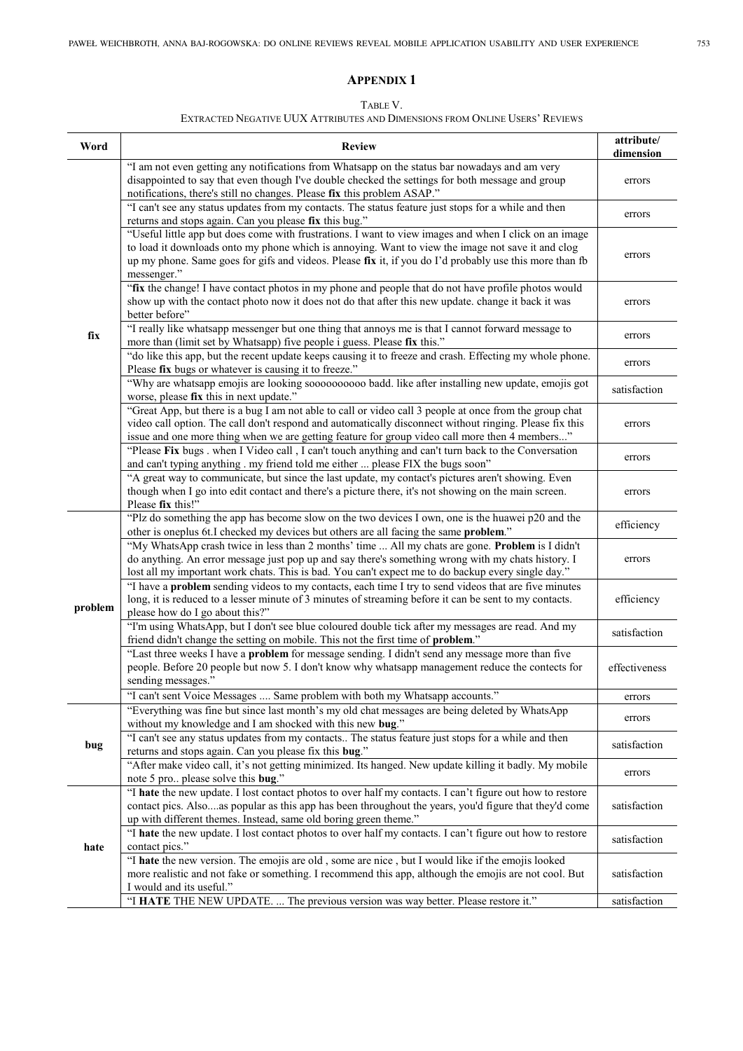# **APPENDIX 1**

#### TABLE V.

# EXTRACTED NEGATIVE UUX ATTRIBUTES AND DIMENSIONS FROM ONLINE USERS' REVIEWS

| Word    | <b>Review</b>                                                                                                                                                                                                                                                                                                                         | attribute/<br>dimension |
|---------|---------------------------------------------------------------------------------------------------------------------------------------------------------------------------------------------------------------------------------------------------------------------------------------------------------------------------------------|-------------------------|
|         | "I am not even getting any notifications from Whatsapp on the status bar nowadays and am very<br>disappointed to say that even though I've double checked the settings for both message and group<br>notifications, there's still no changes. Please fix this problem ASAP."                                                          | errors                  |
|         | "I can't see any status updates from my contacts. The status feature just stops for a while and then<br>returns and stops again. Can you please fix this bug."                                                                                                                                                                        | errors                  |
|         | "Useful little app but does come with frustrations. I want to view images and when I click on an image<br>to load it downloads onto my phone which is annoying. Want to view the image not save it and clog<br>up my phone. Same goes for gifs and videos. Please fix it, if you do I'd probably use this more than fb<br>messenger." | errors                  |
|         | "fix the change! I have contact photos in my phone and people that do not have profile photos would<br>show up with the contact photo now it does not do that after this new update. change it back it was<br>better before"                                                                                                          | errors                  |
| fix     | "I really like whatsapp messenger but one thing that annoys me is that I cannot forward message to<br>more than (limit set by Whatsapp) five people i guess. Please fix this."                                                                                                                                                        | errors                  |
|         | "do like this app, but the recent update keeps causing it to freeze and crash. Effecting my whole phone.<br>Please fix bugs or whatever is causing it to freeze."                                                                                                                                                                     | errors                  |
|         | "Why are whatsapp emojis are looking soooooooooo badd. like after installing new update, emojis got<br>worse, please fix this in next update."                                                                                                                                                                                        | satisfaction            |
|         | "Great App, but there is a bug I am not able to call or video call 3 people at once from the group chat<br>video call option. The call don't respond and automatically disconnect without ringing. Please fix this<br>issue and one more thing when we are getting feature for group video call more then 4 members"                  | errors                  |
|         | "Please Fix bugs . when I Video call, I can't touch anything and can't turn back to the Conversation<br>and can't typing anything . my friend told me either  please FIX the bugs soon"                                                                                                                                               | errors                  |
|         | "A great way to communicate, but since the last update, my contact's pictures aren't showing. Even<br>though when I go into edit contact and there's a picture there, it's not showing on the main screen.<br>Please fix this!"                                                                                                       | errors                  |
| problem | "Plz do something the app has become slow on the two devices I own, one is the huawei p20 and the<br>other is oneplus 6t.I checked my devices but others are all facing the same problem."                                                                                                                                            | efficiency              |
|         | "My WhatsApp crash twice in less than 2 months' time  All my chats are gone. Problem is I didn't<br>do anything. An error message just pop up and say there's something wrong with my chats history. I<br>lost all my important work chats. This is bad. You can't expect me to do backup every single day."                          | errors                  |
|         | "I have a problem sending videos to my contacts, each time I try to send videos that are five minutes<br>long, it is reduced to a lesser minute of 3 minutes of streaming before it can be sent to my contacts.<br>please how do I go about this?"                                                                                    | efficiency              |
|         | "I'm using WhatsApp, but I don't see blue coloured double tick after my messages are read. And my<br>friend didn't change the setting on mobile. This not the first time of problem."                                                                                                                                                 | satisfaction            |
|         | "Last three weeks I have a problem for message sending. I didn't send any message more than five<br>people. Before 20 people but now 5. I don't know why whatsapp management reduce the contects for<br>sending messages."                                                                                                            | effectiveness           |
|         | "I can't sent Voice Messages  Same problem with both my Whatsapp accounts."                                                                                                                                                                                                                                                           | errors                  |
| bug     | "Everything was fine but since last month's my old chat messages are being deleted by WhatsApp<br>without my knowledge and I am shocked with this new bug."                                                                                                                                                                           | errors                  |
|         | "I can't see any status updates from my contacts The status feature just stops for a while and then<br>returns and stops again. Can you please fix this bug."                                                                                                                                                                         | satisfaction            |
|         | "After make video call, it's not getting minimized. Its hanged. New update killing it badly. My mobile<br>note 5 pro please solve this bug."                                                                                                                                                                                          | errors                  |
| hate    | "I hate the new update. I lost contact photos to over half my contacts. I can't figure out how to restore<br>contact pics. Also  as popular as this app has been throughout the years, you'd figure that they'd come<br>up with different themes. Instead, same old boring green theme."                                              | satisfaction            |
|         | "I hate the new update. I lost contact photos to over half my contacts. I can't figure out how to restore<br>contact pics."                                                                                                                                                                                                           | satisfaction            |
|         | "I hate the new version. The emojis are old, some are nice, but I would like if the emojis looked<br>more realistic and not fake or something. I recommend this app, although the emojis are not cool. But<br>I would and its useful."                                                                                                | satisfaction            |
|         | "I HATE THE NEW UPDATE.  The previous version was way better. Please restore it."                                                                                                                                                                                                                                                     | satisfaction            |